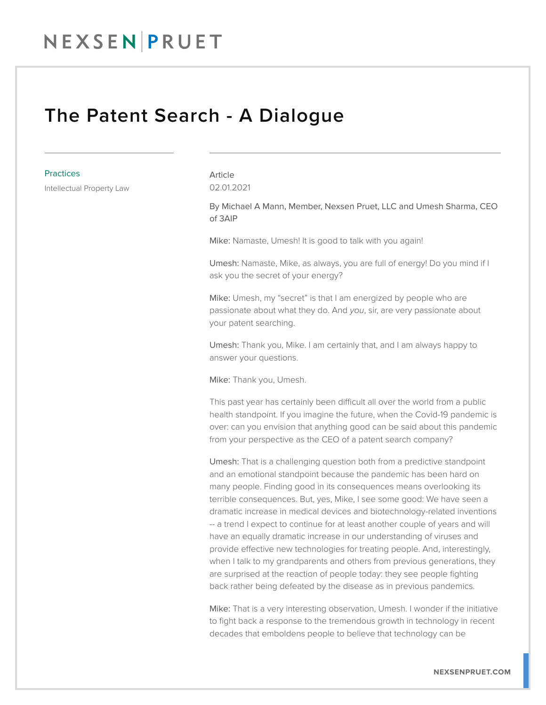#### NEXSEN PRUET

#### The Patent Search - A Dialogue

#### **Practices**

Intellectual Property Law

Article 02.01.2021

By Michael A Mann, Member, Nexsen Pruet, LLC and Umesh Sharma, CEO of 3AIP

Mike: Namaste, Umesh! It is good to talk with you again!

Umesh: Namaste, Mike, as always, you are full of energy! Do you mind if I ask you the secret of your energy?

Mike: Umesh, my "secret" is that I am energized by people who are passionate about what they do. And *you*, sir, are very passionate about your patent searching.

Umesh: Thank you, Mike. I am certainly that, and I am always happy to answer your questions.

Mike: Thank you, Umesh.

This past year has certainly been difficult all over the world from a public health standpoint. If you imagine the future, when the Covid-19 pandemic is over: can you envision that anything good can be said about this pandemic from your perspective as the CEO of a patent search company?

Umesh: That is a challenging question both from a predictive standpoint and an emotional standpoint because the pandemic has been hard on many people. Finding good in its consequences means overlooking its terrible consequences. But, yes, Mike, I see some good: We have seen a dramatic increase in medical devices and biotechnology-related inventions -- a trend I expect to continue for at least another couple of years and will have an equally dramatic increase in our understanding of viruses and provide effective new technologies for treating people. And, interestingly, when I talk to my grandparents and others from previous generations, they are surprised at the reaction of people today: they see people fighting back rather being defeated by the disease as in previous pandemics.

Mike: That is a very interesting observation, Umesh. I wonder if the initiative to fight back a response to the tremendous growth in technology in recent decades that emboldens people to believe that technology can be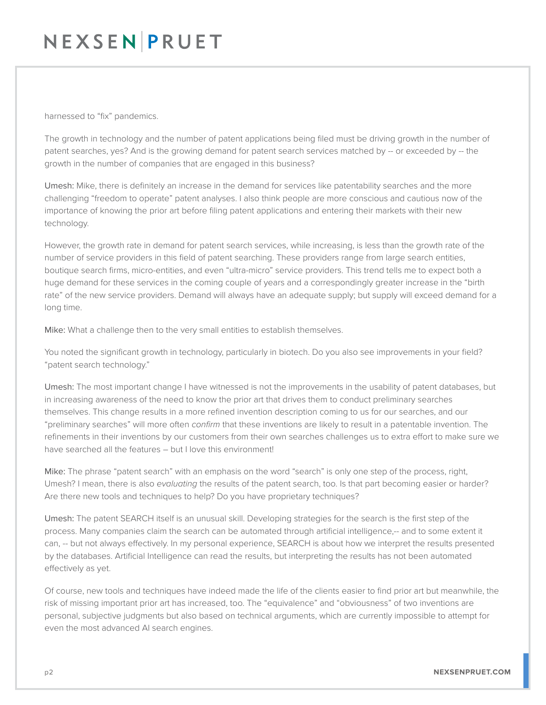## NEXSENPRUET

harnessed to "fix" pandemics.

The growth in technology and the number of patent applications being filed must be driving growth in the number of patent searches, yes? And is the growing demand for patent search services matched by -- or exceeded by -- the growth in the number of companies that are engaged in this business?

Umesh: Mike, there is definitely an increase in the demand for services like patentability searches and the more challenging "freedom to operate" patent analyses. I also think people are more conscious and cautious now of the importance of knowing the prior art before filing patent applications and entering their markets with their new technology.

However, the growth rate in demand for patent search services, while increasing, is less than the growth rate of the number of service providers in this field of patent searching. These providers range from large search entities, boutique search firms, micro-entities, and even "ultra-micro" service providers. This trend tells me to expect both a huge demand for these services in the coming couple of years and a correspondingly greater increase in the "birth rate" of the new service providers. Demand will always have an adequate supply; but supply will exceed demand for a long time.

Mike: What a challenge then to the very small entities to establish themselves.

You noted the significant growth in technology, particularly in biotech. Do you also see improvements in your field? "patent search technology."

Umesh: The most important change I have witnessed is not the improvements in the usability of patent databases, but in increasing awareness of the need to know the prior art that drives them to conduct preliminary searches themselves. This change results in a more refined invention description coming to us for our searches, and our "preliminary searches" will more often *confirm* that these inventions are likely to result in a patentable invention. The refinements in their inventions by our customers from their own searches challenges us to extra effort to make sure we have searched all the features – but I love this environment!

Mike: The phrase "patent search" with an emphasis on the word "search" is only one step of the process, right, Umesh? I mean, there is also *evaluating* the results of the patent search, too. Is that part becoming easier or harder? Are there new tools and techniques to help? Do you have proprietary techniques?

Umesh: The patent SEARCH itself is an unusual skill. Developing strategies for the search is the first step of the process. Many companies claim the search can be automated through artificial intelligence,-- and to some extent it can, -- but not always effectively. In my personal experience, SEARCH is about how we interpret the results presented by the databases. Artificial Intelligence can read the results, but interpreting the results has not been automated effectively as yet.

Of course, new tools and techniques have indeed made the life of the clients easier to find prior art but meanwhile, the risk of missing important prior art has increased, too. The "equivalence" and "obviousness" of two inventions are personal, subjective judgments but also based on technical arguments, which are currently impossible to attempt for even the most advanced AI search engines.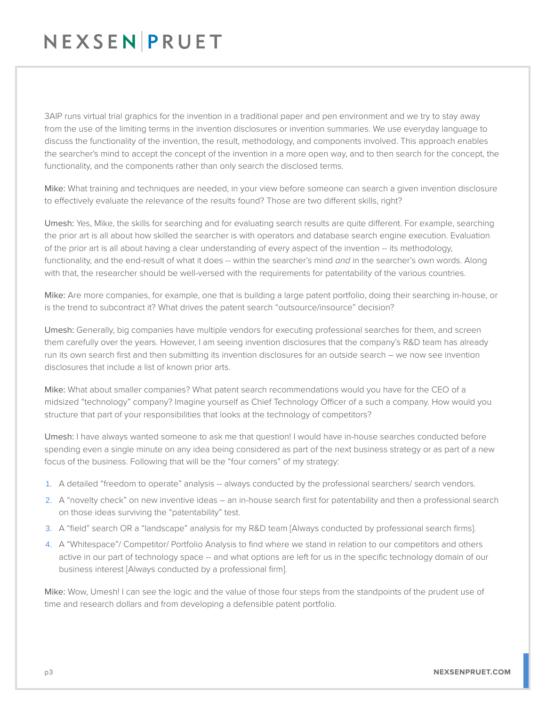# NEXSENPRUET

3AIP runs virtual trial graphics for the invention in a traditional paper and pen environment and we try to stay away from the use of the limiting terms in the invention disclosures or invention summaries. We use everyday language to discuss the functionality of the invention, the result, methodology, and components involved. This approach enables the searcher's mind to accept the concept of the invention in a more open way, and to then search for the concept, the functionality, and the components rather than only search the disclosed terms.

Mike: What training and techniques are needed, in your view before someone can search a given invention disclosure to effectively evaluate the relevance of the results found? Those are two different skills, right?

Umesh: Yes, Mike, the skills for searching and for evaluating search results are quite different. For example, searching the prior art is all about how skilled the searcher is with operators and database search engine execution. Evaluation of the prior art is all about having a clear understanding of every aspect of the invention -- its methodology, functionality, and the end-result of what it does -- within the searcher's mind *and* in the searcher's own words. Along with that, the researcher should be well-versed with the requirements for patentability of the various countries.

Mike: Are more companies, for example, one that is building a large patent portfolio, doing their searching in-house, or is the trend to subcontract it? What drives the patent search "outsource/insource" decision?

Umesh: Generally, big companies have multiple vendors for executing professional searches for them, and screen them carefully over the years. However, I am seeing invention disclosures that the company's R&D team has already run its own search first and then submitting its invention disclosures for an outside search – we now see invention disclosures that include a list of known prior arts.

Mike: What about smaller companies? What patent search recommendations would you have for the CEO of a midsized "technology" company? Imagine yourself as Chief Technology Officer of a such a company. How would you structure that part of your responsibilities that looks at the technology of competitors?

Umesh: I have always wanted someone to ask me that question! I would have in-house searches conducted before spending even a single minute on any idea being considered as part of the next business strategy or as part of a new focus of the business. Following that will be the "four corners" of my strategy:

- 1. A detailed "freedom to operate" analysis -- always conducted by the professional searchers/ search vendors.
- 2. A "novelty check" on new inventive ideas an in-house search first for patentability and then a professional search on those ideas surviving the "patentability" test.
- 3. A "field" search OR a "landscape" analysis for my R&D team [Always conducted by professional search firms].
- 4. A "Whitespace"/ Competitor/ Portfolio Analysis to find where we stand in relation to our competitors and others active in our part of technology space -- and what options are left for us in the specific technology domain of our business interest [Always conducted by a professional firm].

Mike: Wow, Umesh! I can see the logic and the value of those four steps from the standpoints of the prudent use of time and research dollars and from developing a defensible patent portfolio.